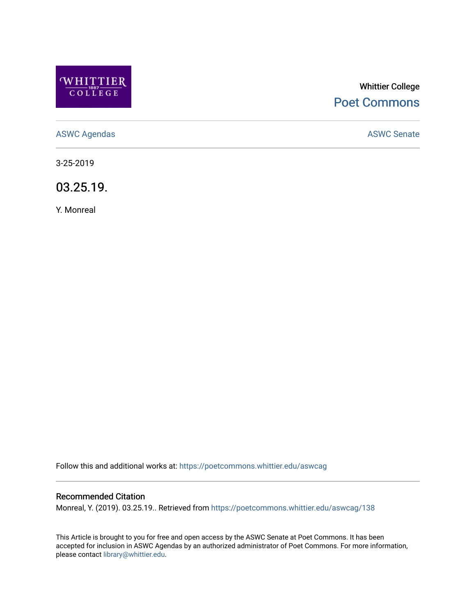

# Whittier College [Poet Commons](https://poetcommons.whittier.edu/)

[ASWC Agendas](https://poetcommons.whittier.edu/aswcag) **ASWC Senate** 

3-25-2019

03.25.19.

Y. Monreal

Follow this and additional works at: [https://poetcommons.whittier.edu/aswcag](https://poetcommons.whittier.edu/aswcag?utm_source=poetcommons.whittier.edu%2Faswcag%2F138&utm_medium=PDF&utm_campaign=PDFCoverPages) 

## Recommended Citation

Monreal, Y. (2019). 03.25.19.. Retrieved from [https://poetcommons.whittier.edu/aswcag/138](https://poetcommons.whittier.edu/aswcag/138?utm_source=poetcommons.whittier.edu%2Faswcag%2F138&utm_medium=PDF&utm_campaign=PDFCoverPages) 

This Article is brought to you for free and open access by the ASWC Senate at Poet Commons. It has been accepted for inclusion in ASWC Agendas by an authorized administrator of Poet Commons. For more information, please contact [library@whittier.edu](mailto:library@whittier.edu).